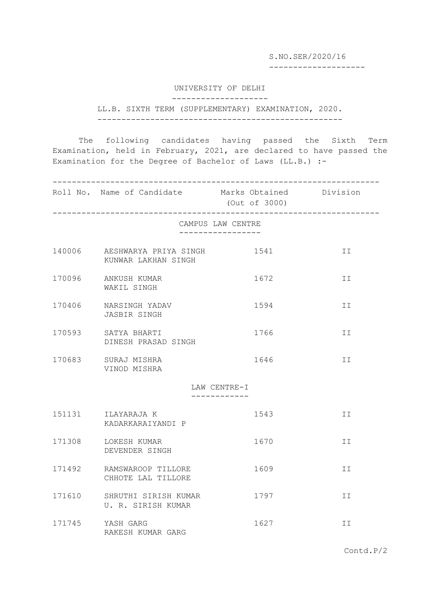S.NO.SER/2020/16

--------------------

UNIVERSITY OF DELHI

--------------------

LL.B. SIXTH TERM (SUPPLEMENTARY) EXAMINATION, 2020. ---------------------------------------------------

The following candidates having passed the Sixth Term Examination, held in February, 2021, are declared to have passed the Examination for the Degree of Bachelor of Laws (LL.B.) :-

-------------------------------------------------------------------- Roll No. Name of Candidate Marks Obtained Division (Out of 3000) -------------------------------------------------------------------- CAMPUS LAW CENTRE ----------------- 140006 AESHWARYA PRIYA SINGH 1541 1541 II KUNWAR LAKHAN SINGH 170096 ANKUSH KUMAR 1672 II WAKIL SINGH 170406 NARSINGH YADAV 1594 II JASBIR SINGH 170593 SATYA BHARTI 1766 1766 II DINESH PRASAD SINGH 170683 SURAJ MISHRA 1646 II VINOD MISHRA LAW CENTRE-I ------------ 151131 ILAYARAJA K 1543 II KADARKARAIYANDI P 171308 LOKESH KUMAR 1670 1670 DEVENDER SINGH 171492 RAMSWAROOP TILLORE 1609 1609 CHHOTE LAL TILLORE 171610 SHRUTHI SIRISH KUMAR 1797 II U. R. SIRISH KUMAR 171745 YASH GARG 1627 1627 RAKESH KUMAR GARG

Contd.P/2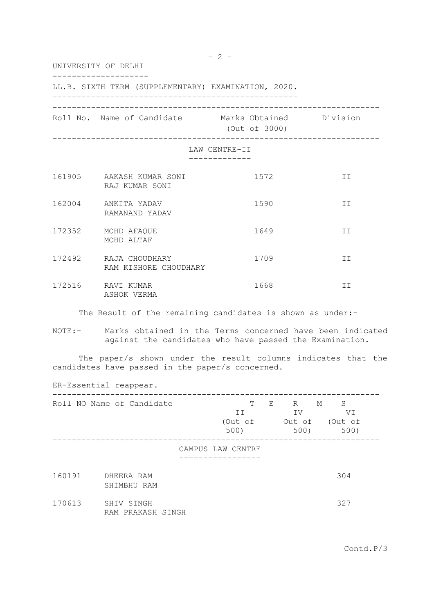UNIVERSITY OF DELHI -------------------- LL.B. SIXTH TERM (SUPPLEMENTARY) EXAMINATION, 2020. --------------------------------------------------- -------------------------------------------------------------------- Roll No. Name of Candidate Marks Obtained Division (Out of 3000) -------------------------------------------------------------------- LAW CENTRE-II ------------- 161905 AAKASH KUMAR SONI 1572 II RAJ KUMAR SONI 162004 ANKITA YADAV 1590 II RAMANAND YADAV 172352 MOHD AFAQUE 1649 1649 MOHD ALTAF 172492 RAJA CHOUDHARY 1709 II RAM KISHORE CHOUDHARY 172516 RAVI KUMAR 1668 II ASHOK VERMA The Result of the remaining candidates is shown as under:-NOTE:- Marks obtained in the Terms concerned have been indicated against the candidates who have passed the Examination.

The paper/s shown under the result columns indicates that the candidates have passed in the paper/s concerned.

| ER-Essential reappear. |                                 |  |                            |   |                           |                                 |  |  |
|------------------------|---------------------------------|--|----------------------------|---|---------------------------|---------------------------------|--|--|
|                        | Roll NO Name of Candidate       |  | Т<br>II<br>(Out of<br>500) | E | R<br>IV<br>Out of<br>500) | S<br>М<br>VI<br>(Out of<br>500) |  |  |
|                        |                                 |  | CAMPUS LAW CENTRE          |   |                           |                                 |  |  |
| 160191                 | DHEERA RAM<br>SHIMBHU RAM       |  |                            |   |                           | 304                             |  |  |
| 170613                 | SHIV SINGH<br>RAM PRAKASH SINGH |  |                            |   |                           | 327                             |  |  |

Contd.P/3

 $- 2 -$